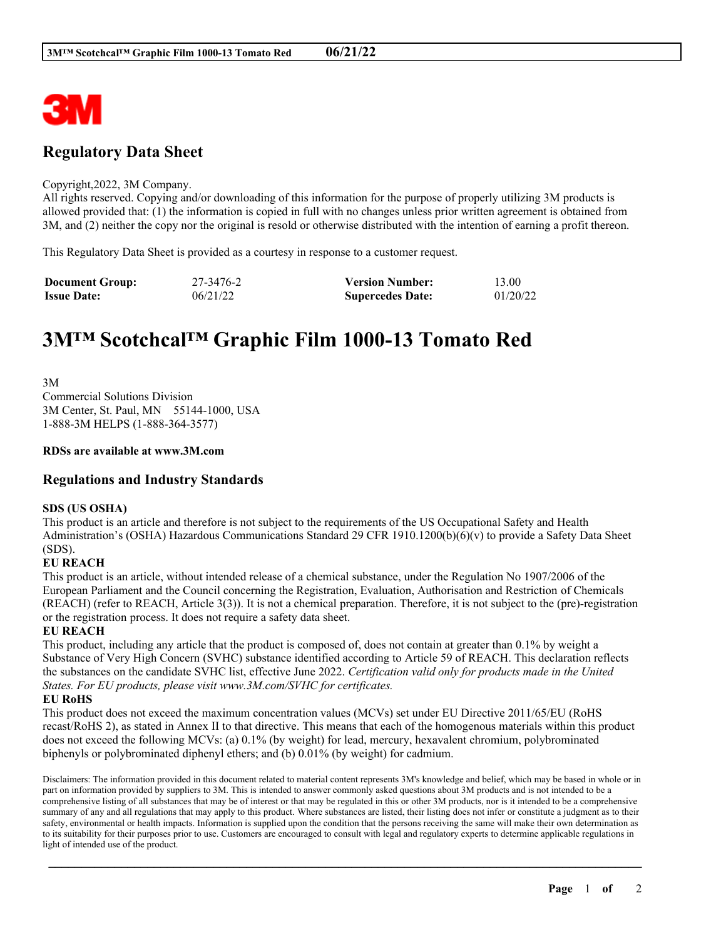

## **Regulatory Data Sheet**

#### Copyright,2022, 3M Company.

All rights reserved. Copying and/or downloading of this information for the purpose of properly utilizing 3M products is allowed provided that: (1) the information is copied in full with no changes unless prior written agreement is obtained from 3M, and (2) neither the copy nor the original is resold or otherwise distributed with the intention of earning a profit thereon.

This Regulatory Data Sheet is provided as a courtesy in response to a customer request.

| <b>Document Group:</b> | 27-3476-2 | <b>Version Number:</b>  | 13.00    |
|------------------------|-----------|-------------------------|----------|
| <b>Issue Date:</b>     | 06/21/22  | <b>Supercedes Date:</b> | 01/20/22 |

# **3M™ Scotchcal™ Graphic Film 1000-13 Tomato Red**

3M Commercial Solutions Division 3M Center, St. Paul, MN 55144-1000, USA 1-888-3M HELPS (1-888-364-3577)

## **RDSs are available at www.3M.com**

## **Regulations and Industry Standards**

## **SDS (US OSHA)**

This product is an article and therefore is not subject to the requirements of the US Occupational Safety and Health Administration's (OSHA) Hazardous Communications Standard 29 CFR 1910.1200(b)(6)(v) to provide a Safety Data Sheet (SDS).

## **EU REACH**

This product is an article, without intended release of a chemical substance, under the Regulation No 1907/2006 of the European Parliament and the Council concerning the Registration, Evaluation, Authorisation and Restriction of Chemicals (REACH) (refer to REACH, Article 3(3)). It is not a chemical preparation. Therefore, it is not subject to the (pre)-registration or the registration process. It does not require a safety data sheet.

## **EU REACH**

This product, including any article that the product is composed of, does not contain at greater than 0.1% by weight a Substance of Very High Concern (SVHC) substance identified according to Article 59 of REACH. This declaration reflects the substances on the candidate SVHC list, effective June 2022. *Certification valid only for products made in the United States. For EU products, please visit www.3M.com/SVHC for certificates.*

## **EU RoHS**

This product does not exceed the maximum concentration values (MCVs) set under EU Directive 2011/65/EU (RoHS recast/RoHS 2), as stated in Annex II to that directive. This means that each of the homogenous materials within this product does not exceed the following MCVs: (a) 0.1% (by weight) for lead, mercury, hexavalent chromium, polybrominated biphenyls or polybrominated diphenyl ethers; and (b) 0.01% (by weight) for cadmium.

Disclaimers: The information provided in this document related to material content represents 3M's knowledge and belief, which may be based in whole or in part on information provided by suppliers to 3M. This is intended to answer commonly asked questions about 3M products and is not intended to be a comprehensive listing of all substances that may be of interest or that may be regulated in this or other 3M products, nor is it intended to be a comprehensive summary of any and all regulations that may apply to this product. Where substances are listed, their listing does not infer or constitute a judgment as to their safety, environmental or health impacts. Information is supplied upon the condition that the persons receiving the same will make their own determination as to its suitability for their purposes prior to use. Customers are encouraged to consult with legal and regulatory experts to determine applicable regulations in light of intended use of the product.

\_\_\_\_\_\_\_\_\_\_\_\_\_\_\_\_\_\_\_\_\_\_\_\_\_\_\_\_\_\_\_\_\_\_\_\_\_\_\_\_\_\_\_\_\_\_\_\_\_\_\_\_\_\_\_\_\_\_\_\_\_\_\_\_\_\_\_\_\_\_\_\_\_\_\_\_\_\_\_\_\_\_\_\_\_\_\_\_\_\_